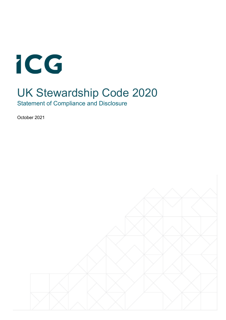

# UK Stewardship Code 2020

Statement of Compliance and Disclosure

October 2021

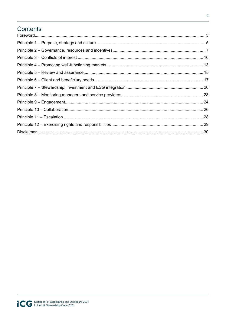### Contents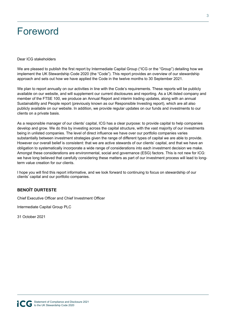### Foreword

#### Dear ICG stakeholders

We are pleased to publish the first report by Intermediate Capital Group ("ICG or the "Group") detailing how we implement the UK Stewardship Code 2020 (the "Code"). This report provides an overview of our stewardship approach and sets out how we have applied the Code in the twelve months to 30 September 2021.

We plan to report annually on our activities in line with the Code's requirements. These reports will be publicly available on our website, and will supplement our current disclosures and reporting. As a UK-listed company and member of the FTSE 100, we produce an Annual Report and interim trading updates, along with an annual Sustainability and People report (previously known as our Responsible Investing report), which are all also publicly available on our website. In addition, we provide regular updates on our funds and investments to our clients on a private basis.

As a responsible manager of our clients' capital, ICG has a clear purpose: to provide capital to help companies develop and grow. We do this by investing across the capital structure, with the vast majority of our investments being in unlisted companies. The level of direct influence we have over our portfolio companies varies substantially between investment strategies given the range of different types of capital we are able to provide. However our overall belief is consistent: that we are active stewards of our clients' capital, and that we have an obligation to systematically incorporate a wide range of considerations into each investment decision we make. Amongst these considerations are environmental, social and governance (ESG) factors. This is not new for ICG: we have long believed that carefully considering these matters as part of our investment process will lead to longterm value creation for our clients.

I hope you will find this report informative, and we look forward to continuing to focus on stewardship of our clients' capital and our portfolio companies.

### **BENOÎT DURTESTE**

Chief Executive Officer and Chief Investment Officer

Intermediate Capital Group PLC

31 October 2021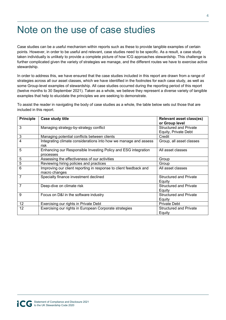# Note on the use of case studies

Case studies can be a useful mechanism within reports such as these to provide tangible examples of certain points. However, in order to be useful and relevant, case studies need to be specific. As a result, a case study taken individually is unlikely to provide a complete picture of how ICG approaches stewardship. This challenge is further complicated given the variety of strategies we manage, and the different routes we have to exercise active stewardship.

In order to address this, we have ensured that the case studies included in this report are drawn from a range of strategies across all our asset classes, which we have identified in the footnotes for each case study, as well as some Group-level examples of stewardship. All case studies occurred during the reporting period of this report (twelve months to 30 September 2021). Taken as a whole, we believe they represent a diverse variety of tangible examples that help to elucidate the principles we are seeking to demonstrate.

To assist the reader in navigating the body of case studies as a whole, the table below sets out those that are included in this report.

| <b>Principle</b> | Case study title                                                                   | <b>Relevant asset class(es)</b><br>or Group level     |
|------------------|------------------------------------------------------------------------------------|-------------------------------------------------------|
| 3                | Managing strategy-by-strategy conflict                                             | <b>Structured and Private</b><br>Equity, Private Debt |
| 3                | Managing potential conflicts between clients                                       | Credit                                                |
| 4                | Integrating climate considerations into how we manage and assess<br>risk           | Group, all asset classes                              |
| 5                | Enhancing our Responsible Investing Policy and ESG integration<br>processes        | All asset classes                                     |
| 5                | Assessing the effectiveness of our activities                                      | Group                                                 |
| 5                | Reviewing hiring policies and practices                                            | Group                                                 |
| $6\phantom{1}$   | Improving our client reporting in response to client feedback and<br>macro changes | All asset classes                                     |
| $\overline{7}$   | Specialty finance investment declined                                              | <b>Structured and Private</b><br>Equity               |
| $\overline{7}$   | Deep-dive on climate risk                                                          | <b>Structured and Private</b><br>Equity               |
| 9                | Focus on D&I in the software industry                                              | <b>Structured and Private</b><br>Equity               |
| 12               | Exercising our rights in Private Debt                                              | <b>Private Debt</b>                                   |
| 12               | Exercising our rights in European Corporate strategies                             | <b>Structured and Private</b><br>Equity               |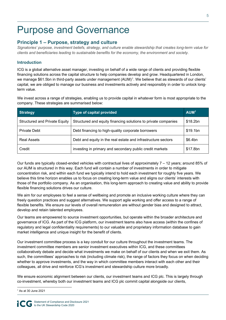# Purpose and Governance

### **Principle 1 – Purpose, strategy and culture**

*Signatories' purpose, investment beliefs, strategy, and culture enable stewardship that creates long-term value for clients and beneficiaries leading to sustainable benefits for the economy, the environment and society.* 

#### **Introduction**

ICG is a global alternative asset manager, investing on behalf of a wide range of clients and providing flexible financing solutions across the capital structure to help companies develop and grow. Headquartered in London, we manage \$61.5bn in third-party assets under management (AUM)<sup>1</sup>. We believe that as stewards of our clients' capital, we are obliged to manage our business and investments actively and responsibly in order to unlock longterm value.

We invest across a range of strategies, enabling us to provide capital in whatever form is most appropriate to the company. These strategies are summarised below:

| <b>Strategy</b>                      | Type of capital provided                                       | AUM <sup>1</sup> |
|--------------------------------------|----------------------------------------------------------------|------------------|
| <b>Structured and Private Equity</b> | Structured and equity financing solutions to private companies | \$18.2bn         |
| <b>Private Debt</b>                  | Debt financing to high-quality corporate borrowers             | \$19.1bn         |
| Real Assets                          | Debt and equity in the real estate and infrastructure sectors  | \$6.4bn          |
| Credit                               | investing in primary and secondary public credit markets       | \$17.8bn         |

Our funds are typically closed-ended vehicles with contractual lives of approximately 7 – 12 years; around 85% of our AUM is structured in this way. Each fund will contain a number of investments in order to mitigate concentration risk, and within each fund we typically intend to hold each investment for roughly five years. We believe this time horizon enables us to focus on creating long-term value and aligns our clients' interests with those of the portfolio company. As an organisation, this long-term approach to creating value and ability to provide flexible financing solutions drives our culture.

We aim for our employees to feel a sense of wellbeing and promote an inclusive working culture where they can freely question practices and suggest alternatives. We support agile working and offer access to a range of flexible benefits. We ensure our levels of overall remuneration are without gender bias and designed to attract, develop and retain talented employees.

Our teams are empowered to source investment opportunities, but operate within the broader architecture and governance of ICG. As part of the ICG platform, our investment teams also have access (within the confines of regulatory and legal confidentiality requirements) to our valuable and proprietary information database to gain market intelligence and unique insight for the benefit of clients.

Our investment committee process is a key conduit for our culture throughout the investment teams. The investment committee members are senior investment executives within ICG, and these committees collaboratively debate and decide what investments we make on behalf of our clients and when we exit them. As such, the committees' approaches to risk (including climate risk), the range of factors they focus on when deciding whether to approve investments, and the way in which committee members interact with each other and their colleagues, all drive and reinforce ICG's investment and stewardship culture more broadly.

We ensure economic alignment between our clients, our investment teams and ICG plc. This is largely through co-investment, whereby both our investment teams and ICG plc commit capital alongside our clients,

<sup>1</sup> As at 30 June 2021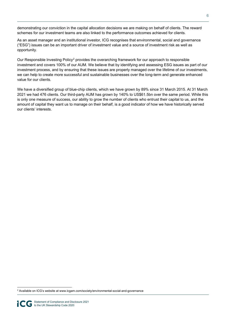demonstrating our conviction in the capital allocation decisions we are making on behalf of clients. The reward schemes for our investment teams are also linked to the performance outcomes achieved for clients.

As an asset manager and an institutional investor, ICG recognises that environmental, social and governance ("ESG") issues can be an important driver of investment value and a source of investment risk as well as opportunity.

Our Responsible Investing Policy<sup>2</sup> provides the overarching framework for our approach to responsible investment and covers 100% of our AUM. We believe that by identifying and assessing ESG issues as part of our investment process, and by ensuring that these issues are properly managed over the lifetime of our investments, we can help to create more successful and sustainable businesses over the long-term and generate enhanced value for our clients.

We have a diversified group of blue-chip clients, which we have grown by 89% since 31 March 2015. At 31 March 2021 we had 476 clients. Our third-party AUM has grown by 140% to US\$61.5bn over the same period. While this is only one measure of success, our ability to grow the number of clients who entrust their capital to us, and the amount of capital they want us to manage on their behalf, is a good indicator of how we have historically served our clients' interests.

<sup>2</sup> Available on ICG's website at www.icgam.com/society/environmental-social-and-governance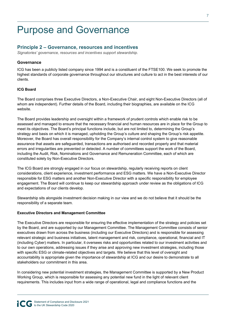### Purpose and Governance

### **Principle 2 – Governance, resources and incentives**

*Signatories' governance, resources and incentives support stewardship.* 

#### **Governance**

ICG has been a publicly listed company since 1994 and is a constituent of the FTSE100. We seek to promote the highest standards of corporate governance throughout our structures and culture to act in the best interests of our clients.

#### **ICG Board**

The Board comprises three Executive Directors, a Non-Executive Chair, and eight Non-Executive Directors (all of whom are independent). Further details of the Board, including their biographies, are available on the ICG website.

The Board provides leadership and oversight within a framework of prudent controls which enable risk to be assessed and managed to ensure that the necessary financial and human resources are in place for the Group to meet its objectives. The Board's principal functions include, but are not limited to, determining the Group's strategy and basis on which it is managed, upholding the Group's culture and shaping the Group's risk appetite. Moreover, the Board has overall responsibility for the Company's internal control system to give reasonable assurance that assets are safeguarded, transactions are authorised and recorded properly and that material errors and irregularities are prevented or detected. A number of committees support the work of the Board, including the Audit, Risk, Nominations and Governance and Remuneration Committee, each of which are constituted solely by Non-Executive Directors.

The ICG Board are strongly engaged in our focus on stewardship, regularly receiving reports on client considerations, client experience, investment performance and ESG matters. We have a Non-Executive Director responsible for ESG matters and another Non-Executive Director with a specific responsibility for employee engagement. The Board will continue to keep our stewardship approach under review as the obligations of ICG and expectations of our clients develop.

Stewardship sits alongside investment decision making in our view and we do not believe that it should be the responsibility of a separate team.

#### **Executive Directors and Management Committee**

The Executive Directors are responsible for ensuring the effective implementation of the strategy and policies set by the Board, and are supported by our Management Committee. The Management Committee consists of senior executives drawn from across the business (including our Executive Directors) and is responsible for assessing relevant strategic and business initiatives, talent management and risk, compliance, operational, financial and IT (including Cyber) matters. In particular, it oversees risks and opportunities related to our investment activities and to our own operations, addressing issues if they arise and approving new investment strategies, including those with specific ESG or climate-related objectives and targets. We believe that this level of oversight and accountability is appropriate given the importance of stewardship at ICG and our desire to demonstrate to all stakeholders our commitment in this area.

In considering new potential investment strategies, the Management Committee is supported by a New Product Working Group, which is responsible for assessing any potential new fund in the light of relevant client requirements. This includes input from a wide range of operational, legal and compliance functions and the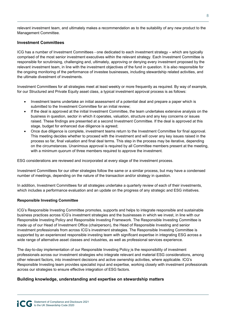relevant investment team, and ultimately makes a recommendation as to the suitability of any new product to the Management Committee.

#### **Investment Committees**

ICG has a number of Investment Committees - one dedicated to each investment strategy – which are typically comprised of the most senior investment executives within the relevant strategy. Each Investment Committee is responsible for scrutinising, challenging and, ultimately, approving or denying every investment proposed by the relevant investment team, in line with the investment objectives of the fund in question. It is also responsible for the ongoing monitoring of the performance of investee businesses, including stewardship related activities, and the ultimate divestment of investments.

Investment Committees for all strategies meet at least weekly or more frequently as required. By way of example, for our Structured and Private Equity asset class, a typical investment approval process is as follows:

- Investment teams undertake an initial assessment of a potential deal and prepare a paper which is submitted to the Investment Committee for an initial review;
- If the deal is approved at the initial Investment Committee, the team undertakes extensive analysis on the business in question, sector in which it operates, valuation, structure and any key concerns or issues raised. These findings are presented at a second Investment Committee. If the deal is approved at this stage, budget for enhanced due diligence is agreed;
- Once due diligence is complete, investment teams return to the Investment Committee for final approval. This meeting decides whether to proceed with the investment and will cover any key issues raised in the process so far, final valuation and final deal terms. This step in the process may be iterative, depending on the circumstances. Unanimous approval is required by all Committee members present at the meeting, with a minimum quorum of three members required to approve the investment.

ESG considerations are reviewed and incorporated at every stage of the investment process.

Investment Committees for our other strategies follow the same or a similar process, but may have a condensed number of meetings, depending on the nature of the transaction and/or strategy in question.

In addition, Investment Committees for all strategies undertake a quarterly review of each of their investments, which includes a performance evaluation and an update on the progress of any strategic and ESG initiatives.

#### **Responsible Investing Committee**

ICG's Responsible Investing Committee promotes, supports and helps to integrate responsible and sustainable business practices across ICG's investment strategies and the businesses in which we invest, in line with our Responsible Investing Policy and Responsible Investing Framework. The Responsible Investing Committee is made up of our Head of Investment Office (chairperson), the Head of Responsible Investing and senior investment professionals from across ICG's investment strategies. The Responsible Investing Committee is supported by an experienced responsible investing team with significant expertise in integrating ESG across a wide range of alternative asset classes and industries, as well as professional services experience.

The day-to-day implementation of our Responsible Investing Policy is the responsibility of investment professionals across our investment strategies who integrate relevant and material ESG considerations, among other relevant factors, into investment decisions and active ownership activities, where applicable. ICG's Responsible Investing team provides specialist input and expertise, working closely with investment professionals across our strategies to ensure effective integration of ESG factors.

#### **Building knowledge, understanding and expertise on stewardship matters**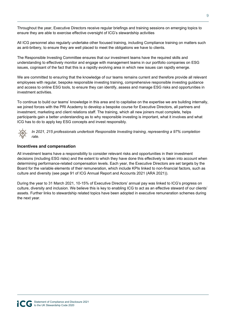Throughout the year, Executive Directors receive regular briefings and training sessions on emerging topics to ensure they are able to exercise effective oversight of ICG's stewardship activities

All ICG personnel also regularly undertake other focused training, including Compliance training on matters such as anti-bribery, to ensure they are well placed to meet the obligations we have to clients.

The Responsible Investing Committee ensures that our investment teams have the required skills and understanding to effectively monitor and engage with management teams in our portfolio companies on ESG issues, cognisant of the fact that this is a rapidly evolving area in which new issues can rapidly emerge.

We are committed to ensuring that the knowledge of our teams remains current and therefore provide all relevant employees with regular, bespoke responsible investing training, comprehensive responsible investing guidance and access to online ESG tools, to ensure they can identify, assess and manage ESG risks and opportunities in investment activities.

To continue to build our teams' knowledge in this area and to capitalise on the expertise we are building internally, we joined forces with the PRI Academy to develop a bespoke course for Executive Directors, all partners and investment, marketing and client relations staff. The training, which all new joiners must complete, helps participants gain a better understanding as to why responsible investing is important, what it involves and what ICG has to do to apply key ESG concepts and invest responsibly.



*In 2021, 215 professionals undertook Responsible Investing training, representing a 97% completion rate.* 

#### **Incentives and compensation**

All investment teams have a responsibility to consider relevant risks and opportunities in their investment decisions (including ESG risks) and the extent to which they have done this effectively is taken into account when determining performance-related compensation levels. Each year, the Executive Directors are set targets by the Board for the variable elements of their remuneration, which include KPIs linked to non-financial factors, such as culture and diversity (see page 91 of ICG Annual Report and Accounts 2021 (ARA 2021)).

During the year to 31 March 2021, 10-15% of Executive Directors' annual pay was linked to ICG's progress on culture, diversity and inclusion. We believe this is key to enabling ICG to act as an effective steward of our clients' assets. Further links to stewardship related topics have been adopted in executive remuneration schemes during the next year.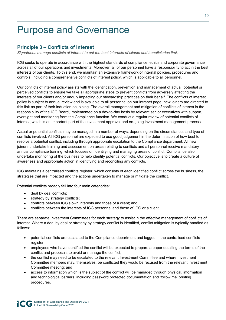# Purpose and Governance

### **Principle 3 – Conflicts of interest**

*Signatories manage conflicts of interest to put the best interests of clients and beneficiaries first.* 

ICG seeks to operate in accordance with the highest standards of compliance, ethics and corporate governance across all of our operations and investments. Moreover, all of our personnel have a responsibility to act in the best interests of our clients. To this end, we maintain an extensive framework of internal policies, procedures and controls, including a comprehensive conflicts of interest policy, which is applicable to all personnel.

Our conflicts of interest policy assists with the identification, prevention and management of actual, potential or perceived conflicts to ensure we take all appropriate steps to prevent conflicts from adversely affecting the interests of our clients and/or unduly impacting our stewardship practices on their behalf. The conflicts of interest policy is subject to annual review and is available to all personnel on our intranet page; new joiners are directed to this link as part of their induction on joining. The overall management and mitigation of conflicts of interest is the responsibility of the ICG Board, implemented on a day-to-day basis by relevant senior executives with support, oversight and monitoring from the Compliance function. We conduct a regular review of potential conflicts of interest, which is an important part of the investment approval and on-going investment management process.

Actual or potential conflicts may be managed in a number of ways, depending on the circumstances and type of conflicts involved. All ICG personnel are expected to use good judgement in the determination of how best to resolve a potential conflict, including through appropriate escalation to the Compliance department. All new joiners undertake training and assessment on areas relating to conflicts and all personnel receive mandatory annual compliance training, which focuses on identifying and managing areas of conflict. Compliance also undertake monitoring of the business to help identify potential conflicts. Our objective is to create a culture of awareness and appropriate action in identifying and reconciling any conflicts.

ICG maintains a centralised conflicts register, which consists of each identified conflict across the business, the strategies that are impacted and the actions undertaken to manage or mitigate the conflict.

Potential conflicts broadly fall into four main categories:

- deal by deal conflicts;
- strategy by strategy conflicts;
- conflicts between ICG's own interests and those of a client; and
- conflicts between the interests of ICG personnel and those of ICG or a client.

There are separate Investment Committees for each strategy to assist in the effective management of conflicts of interest. Where a deal by deal or strategy by strategy conflict is identified, conflict mitigation is typically handled as follows:

- potential conflicts are escalated to the Compliance department and logged in the centralised conflicts register;
- employees who have identified the conflict will be expected to prepare a paper detailing the terms of the conflict and proposals to avoid or manage the conflict;
- the conflict may need to be escalated to the relevant Investment Committee and where Investment Committee members may, themselves, be conflicted they would be recused from the relevant Investment Committee meeting; and
- access to information which is the subject of the conflict will be managed through physical, information and technological barriers, including password protected documentation and 'follow me' printing procedures.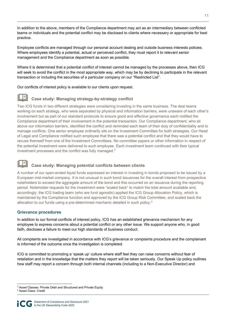In addition to the above, members of the Compliance department may act as an intermediary between conflicted teams or individuals and the potential conflict may be disclosed to clients where necessary or appropriate for best practice.

Employee conflicts are managed through our personal account dealing and outside business interests policies. Where employees identify a potential, actual or perceived conflict, they must report it to relevant senior management and the Compliance department as soon as possible.

Where it is determined that a potential conflict of interest cannot be managed by the processes above, then ICG will seek to avoid the conflict in the most appropriate way, which may be by declining to participate in the relevant transaction or including the securities of a particular company on our "Restricted List".

Our conflicts of interest policy is available to our clients upon request.

### **Case study: Managing strategy-by-strategy conflict**

Two ICG funds in two different strategies were considering investing in the same business. The deal teams working on each strategy, who were separated by physical and information barriers, were unaware of each other's involvement but as part of our standard protocols to ensure good and effective governance each notified the Compliance department of their involvement in the potential transaction. Our Compliance department, who sit above our information barriers, identified the conflict and reminded each team of their duty of confidentiality and to manage conflicts. One senior employee ordinarily sits on the Investment Committee for both strategies. Our Head of Legal and Compliance notified such employee that there was a potential conflict and that they would have to recuse themself from one of the Investment Committees. No committee papers or other information in respect of the potential investment were delivered to such employee. Each investment team continued with their typical investment processes and the conflict was fully managed. $3$ 

### **Case study: Managing potential conflicts between clients**

A number of our open-ended liquid funds expressed an interest in investing in bonds proposed to be issued by a European mid-market company. It is not unusual in such bond issuances for the overall interest from prospective noteholders to exceed the aggregate amount of the bond and this occurred on an issuance during the reporting period. Noteholder requests for the investment were "scaled back" to match the total amount available and, accordingly, the ICG trading team (who are fund agnostic) applied the ICG Group Allocation Policy, which is maintained by the Compliance function and approved by the ICG Group Risk Committee, and scaled back the allocation to our funds using a pre-determined mechanic detailed in such policy.<sup>4</sup>

#### **Grievance procedures**

In addition to our formal conflicts of interest policy, ICG has an established grievance mechanism for any employee to express concerns about a potential conflict or any other issue. We support anyone who, in good faith, discloses a failure to meet our high standards of business conduct.

All complaints are investigated in accordance with ICG's grievance or complaints procedure and the complainant is informed of the outcome once the investigation is completed.

ICG is committed to promoting a 'speak up' culture where staff feel they can raise concerns without fear of retaliation and in the knowledge that the matters they report will be taken seriously. Our Speak Up policy outlines how staff may report a concern through both internal channels (including to a Non-Executive Director) and

 $3$  Asset Classes: Private Debt and Structured and Private Equity<br>4 Asset Class: Credit

<sup>&</sup>lt;sup>4</sup> Asset Class: Credit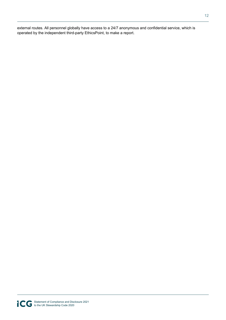external routes. All personnel globally have access to a 24/7 anonymous and confidential service, which is operated by the independent third-party EthicsPoint, to make a report.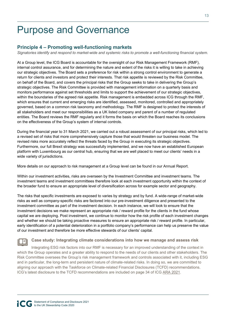# Purpose and Governance

### **Principle 4 – Promoting well-functioning markets**

*Signatories identify and respond to market-wide and systemic risks to promote a well-functioning financial system.* 

At a Group level, the ICG Board is accountable for the oversight of our Risk Management Framework (RMF), internal control assurance, and for determining the nature and extent of the risks it is willing to take in achieving our strategic objectives. The Board sets a preference for risk within a strong control environment to generate a return for clients and investors and protect their interests. That risk appetite is reviewed by the Risk Committee, on behalf of the Board, and covers the principal risks that the Group seeks to take in delivering the Group's strategic objectives. The Risk Committee is provided with management information on a quarterly basis and monitors performance against set thresholds and limits to support the achievement of our strategic objectives, within the boundaries of the agreed risk appetite. Risk management is embedded across ICG through the RMF, which ensures that current and emerging risks are identified, assessed, monitored, controlled and appropriately governed, based on a common risk taxonomy and methodology. The RMF is designed to protect the interests of all stakeholders and meet our responsibilities as a UK listed company and parent of a number of regulated entities. The Board reviews the RMF regularly and it forms the basis on which the Board reaches its conclusions on the effectiveness of the Group's system of internal controls.

During the financial year to 31 March 2021, we carried out a robust assessment of our principal risks, which led to a revised set of risks that more comprehensively capture those that would threaten our business model. The revised risks more accurately reflect the threats faced by the Group in executing its strategic objectives. Furthermore, our full Brexit strategy was successfully implemented, and we now have an established European platform with Luxembourg as our central hub, ensuring that we are well placed to meet our clients' needs in a wide variety of jurisdictions.

More details on our approach to risk management at a Group level can be found in our Annual Report.

Within our investment activities, risks are overseen by the Investment Committee and investment teams. The investment teams and investment committees therefore look at each investment opportunity within the context of the broader fund to ensure an appropriate level of diversification across for example sector and geography.

The risks that specific investments are exposed to varies by strategy and by fund. A wide-range of market-wide risks as well as company-specific risks are factored into our pre-investment diligence and presented to the investment committee as part of the investment decision. In each instance, we will look to ensure that the investment decisions we make represent an appropriate risk / reward profile for the clients in the fund whose capital we are deploying. Post investment, we continue to monitor how the risk profile of each investment changes and whether we should be taking proactive measures to ensure an appropriate risk / reward profile. In particular, early identification of a potential deterioration in a portfolio company's performance can help us preserve the value of our investment and therefore be more effective stewards of our clients' capital.

#### **Case study: Integrating climate considerations into how we manage and assess risk**

Integrating ESG risk factors into our RMF is necessary for an improved understanding of the context in which the Group operates and a greater ability to respond to the needs of our clients and other stakeholders. The Risk Committee oversees the Group's risk management framework and controls associated with it, including ESG and in particular, the long-term and persistent nature of climate-related risks. In doing so, we are committed to aligning our approach with the Taskforce on Climate-related Financial Disclosures (TCFD) recommendations. ICG's latest disclosure to the TCFD recommendations are included on page 34 of ICG ARA 2021.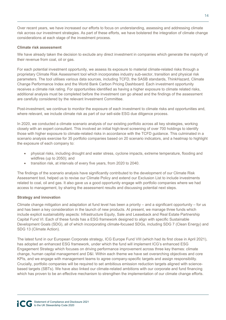Over recent years, we have increased our efforts to focus on understanding, assessing and addressing climate risk across our investment strategies. As part of these efforts, we have bolstered the integration of climate change considerations at each stage of the investment process.

#### **Climate risk assessment**

We have already taken the decision to exclude any direct investment in companies which generate the majority of their revenue from coal, oil or gas.

For each potential investment opportunity, we assess its exposure to material climate-related risks through a proprietary Climate Risk Assessment tool which incorporates industry sub-sector, transition and physical risk parameters. The tool utilises various data sources, including TCFD, the SASB standards, ThinkHazard, Climate Change Performance Index and the World Bank Carbon Pricing Dashboard. Each investment opportunity receives a climate risk rating. For opportunities identified as having a higher exposure to climate related risks, additional analysis must be completed before the investment can go ahead and the findings of the assessment are carefully considered by the relevant Investment Committee.

Post-investment, we continue to monitor the exposure of each investment to climate risks and opportunities and, where relevant, we include climate risk as part of our sell-side ESG due diligence process.

In 2020, we conducted a climate scenario analysis of our existing portfolio across all key strategies, working closely with an expert consultant. This involved an initial high-level screening of over 700 holdings to identify those with higher exposure to climate-related risks in accordance with the TCFD guidance. This culminated in a scenario analysis exercise for 35 portfolio companies based on 20 scenario indicators, and a heatmap to highlight the exposure of each company to:

- physical risks, including drought and water stress, cyclone impacts, extreme temperature, flooding and wildfires (up to 2050); and
- transition risk, at intervals of every five years, from 2020 to 2040.

The findings of the scenario analysis have significantly contributed to the development of our Climate Risk Assessment tool, helped us to revise our Climate Policy and extend our Exclusion List to include investments related to coal, oil and gas. It also gave us a good opportunity engage with portfolio companies where we had access to management, by sharing the assessment results and discussing potential next steps.

#### **Strategy and innovation**

Climate change mitigation and adaptation at fund level has been a priority – and a significant opportunity – for us and has been a key consideration in the launch of new products. At present, we manage three funds which include explicit sustainability aspects: Infrastructure Equity, Sale and Leaseback and Real Estate Partnership Capital Fund VI. Each of these funds has a ESG framework designed to align with specific Sustainable Development Goals (SDG), all of which incorporating climate-focused SDGs, including SDG 7 (Clean Energy) and SDG 13 (Climate Action).

The latest fund in our European Corporate strategy, ICG Europe Fund VIII (which had its first close in April 2021), has adopted an enhanced ESG framework, under which the fund will implement ICG's enhanced ESG Engagement Strategy which focuses on driving performance improvement across three key themes: climate change, human capital management and D&I. Within each theme we have set overarching objectives and core KPIs, and we engage with management teams to agree company-specific targets and assign responsibility. Crucially, portfolio companies will be required to set ambitious emission reduction targets aligned with sciencebased targets (SBTs). We have also linked our climate-related ambitions with our corporate and fund financing which has proven to be an effective mechanism to strengthen the implementation of our climate change efforts.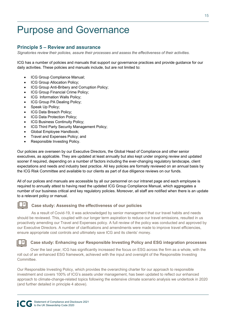# Purpose and Governance

### **Principle 5 – Review and assurance**

*Signatories review their policies, assure their processes and assess the effectiveness of their activities.* 

ICG has a number of policies and manuals that support our governance practices and provide guidance for our daily activities. These policies and manuals include, but are not limited to:

- ICG Group Compliance Manual;
- ICG Group Allocation Policy;
- ICG Group Anti-Bribery and Corruption Policy;
- ICG Group Financial Crime Policy;
- ICG Information Walls Policy;
- ICG Group PA Dealing Policy;
- Speak Up Policy;
- ICG Data Breach Policy:
- ICG Data Protection Policy;
- ICG Business Continuity Policy;
- ICG Third Party Security Management Policy;
- Global Employee Handbook;
- Travel and Expenses Policy; and
- Responsible Investing Policy.

Our policies are overseen by our Executive Directors, the Global Head of Compliance and other senior executives, as applicable. They are updated at least annually but also kept under ongoing review and updated sooner if required, depending on a number of factors including the ever-changing regulatory landscape, client expectations and needs and industry best practice. All key policies are formally reviewed on an annual basis by the ICG Risk Committee and available to our clients as part of due diligence reviews on our funds.

All of our polices and manuals are accessible by all our personnel on our intranet page and each employee is required to annually attest to having read the updated ICG Group Compliance Manual, which aggregates a number of our business critical and key regulatory policies. Moreover, all staff are notified when there is an update to a relevant policy or manual.



#### **Case study: Assessing the effectiveness of our policies**

As a result of Covid-19, it was acknowledged by senior management that our travel habits and needs should be reviewed. This, coupled with our longer term aspiration to reduce our travel emissions, resulted in us proactively amending our Travel and Expenses policy. A full review of the policy was conducted and approved by our Executive Directors. A number of clarifications and amendments were made to improve travel efficiencies, ensure appropriate cost controls and ultimately save ICG and its clients' money.

#### **Case study: Enhancing our Responsible Investing Policy and ESG integration processes**

Over the last year, ICG has significantly increased the focus on ESG across the firm as a whole, with the roll out of an enhanced ESG framework, achieved with the input and oversight of the Responsible Investing Committee.

Our Responsible Investing Policy, which provides the overarching charter for our approach to responsible investment and covers 100% of ICG's assets under management, has been updated to reflect our enhanced approach to climate-change-related topics following the extensive climate scenario analysis we undertook in 2020 (and further detailed in principle 4 above).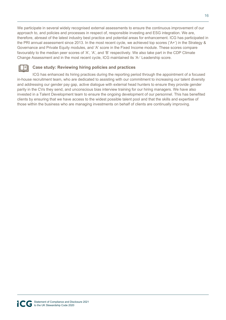We participate in several widely recognised external assessments to ensure the continuous improvement of our approach to, and policies and processes in respect of, responsible investing and ESG integration. We are, therefore, abreast of the latest industry best practice and potential areas for enhancement. ICG has participated in the PRI annual assessment since 2013. In the most recent cycle, we achieved top scores ('A+') in the Strategy & Governance and Private Equity modules, and 'A' score in the Fixed Income module. These scores compare favourably to the median peer scores of 'A', 'A', and 'B' respectively. We also take part in the CDP Climate Change Assessment and in the most recent cycle, ICG maintained its 'A-' Leadership score.



### **Case study: Reviewing hiring policies and practices**

ICG has enhanced its hiring practices during the reporting period through the appointment of a focused in-house recruitment team, who are dedicated to assisting with our commitment to increasing our talent diversity and addressing our gender pay gap, active dialogue with external head hunters to ensure they provide gender parity in the CVs they send, and unconscious bias interview training for our hiring managers. We have also invested in a Talent Development team to ensure the ongoing development of our personnel. This has benefited clients by ensuring that we have access to the widest possible talent pool and that the skills and expertise of those within the business who are managing investments on behalf of clients are continually improving.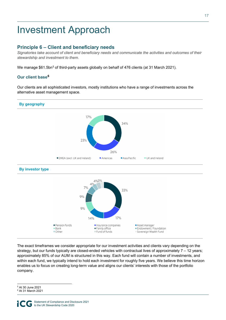# Investment Approach

### **Principle 6 – Client and beneficiary needs**

*Signatories take account of client and beneficiary needs and communicate the activities and outcomes of their stewardship and investment to them.* 

We manage \$61.5bn<sup>5</sup> of third-party assets globally on behalf of 476 clients (at 31 March 2021).

#### Our client base<sup>6</sup>

Our clients are all sophisticated investors, mostly institutions who have a range of investments across the alternative asset management space.



The exact timeframes we consider appropriate for our investment activities and clients vary depending on the strategy, but our funds typically are closed-ended vehicles with contractual lives of approximately 7 – 12 years; approximately 85% of our AUM is structured in this way. Each fund will contain a number of investments, and within each fund, we typically intend to hold each investment for roughly five years. We believe this time horizon enables us to focus on creating long-term value and aligns our clients' interests with those of the portfolio company.

<sup>5</sup> At 30 June 2021

<sup>6</sup> At 31 March 2021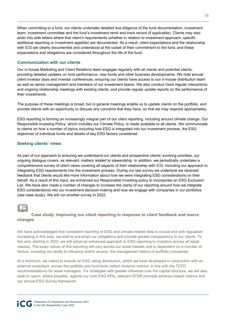When committing to a fund, our clients undertake detailed due diligence of the fund documentation, investment team, investment committee and the fund's investment remit and track record (if applicable). Clients may also enter into side letters where that client's requirements (whether in relation to investment approach, specific additional reporting or investment appetite) are documented. As a result, client expectations and the relationship with ICG are clearly documented and understood at the outset of their commitment to the fund, and these expectations and obligations are considered throughout the life of the fund.

#### **Communication with our clients**

Our in-house Marketing and Client Relations team engages regularly with all clients and potential clients, providing detailed updates on fund performance, new funds and other business developments. We hold annual client investor days and investor conferences, ensuring our clients have access to our in-house distribution team as well as senior management and members of our investment teams. We also conduct more regular interactions and ongoing relationship meetings with existing clients, and provide regular update reports on the performance of their investments.

The purpose of these meetings is broad, but in general meetings enable us to update clients on the portfolio, and provide clients with an opportunity to discuss any concerns that they have, so that we may respond appropriately.

ESG reporting is forming an increasingly integral part of our client reporting, including around climate change. Our Responsible Investing Policy, which includes our Climate Policy, is made available to all clients. We communicate to clients on how a number of topics including how ESG is integrated into our investment process, the ESG objectives of individual funds and details of key ESG factors considered.

#### **Seeking clients' views**

As part of our approach to ensuring we understand our clients and prospective clients' evolving priorities, our ongoing dialogue covers, as relevant, matters related to stewardship. In addition, we periodically undertake a comprehensive survey of client views covering all aspects of their relationship with ICG, including our approach to integrating ESG requirements into the investment process. During our last survey we undertook we received feedback that clients would like more information about how we were integrating ESG considerations on their behalf. As a result of this input, we enhanced our Responsible Investing policy to incorporate an ESG Exclusion List. We have also made a number of changes to increase the clarity of our reporting around how we integrate ESG considerations into our investment decision-making and how we engage with companies in our portfolios (see case study). We will run another survey in 2022.

#### **Case study: Improving our client reporting in response to client feedback and macro changes**

We have acknowledged that consistent reporting of ESG and climate-related data is crucial and with regulation increasing in this area, we wish to pre-empt our obligations and provide greater transparency to our clients. To this end, starting in 2022, we will adopt an enhanced approach to ESG reporting to investors across all asset classes. The exact nature of this reporting will vary across our asset classes and is dependent on a number of factors, including our ability to influence and/or access, the management teams of portfolio companies.

At a minimum, we intend to include an ESG rating distribution, which we have developed in conjunction with an external consultant, across the portfolio and fund level carbon footprint metrics, in line with the TCFD recommendations for asset managers. For strategies with greater influence over the capital structure, we will also seek to report, where possible, against our core ESG KPIs, relevant SFDR principle adverse impact metrics and our annual ESG Survey framework.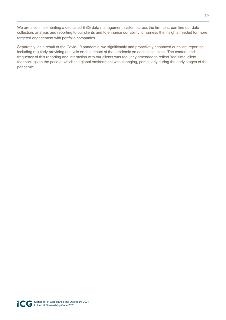We are also implementing a dedicated ESG data management system across the firm to streamline our data collection, analysis and reporting to our clients and to enhance our ability to harness the insights needed for more targeted engagement with portfolio companies.

Separately, as a result of the Covid-19 pandemic, we significantly and proactively enhanced our client reporting, including regularly providing analysis on the impact of the pandemic on each asset class. The content and frequency of this reporting and interaction with our clients was regularly amended to reflect 'real time' client feedback given the pace at which the global environment was changing, particularly during the early stages of the pandemic.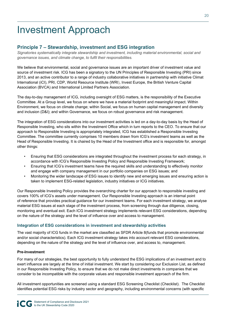# Investment Approach

### **Principle 7 – Stewardship, investment and ESG integration**

*Signatories systematically integrate stewardship and investment, including material environmental, social and governance issues, and climate change, to fulfil their responsibilities.* 

We believe that environmental, social and governance issues are an important driver of investment value and source of investment risk. ICG has been a signatory to the UN Principles of Responsible Investing (PRI) since 2013, and an active contributor to a range of industry collaborative initiatives in partnership with initiative Climat International (iCI), PRI, CDP, World Resource Institute (WRI), Invest Europe, the British Venture Capital Association (BVCA) and International Limited Partners Association.

The day-to-day management of ICG, including oversight of ESG matters, is the responsibility of the Executive Committee. At a Group level, we focus on where we have a material footprint and meaningful impact. Within Environment, we focus on climate change; within Social, we focus on human capital management and diversity and inclusion (D&I); and within Governance, we focus on robust governance and risk management.

The integration of ESG considerations into our investment activities is led on a day-to-day basis by the Head of Responsible Investing, who sits within the Investment Office which in turn reports to the CEO. To ensure that our approach to Responsible Investing is appropriately integrated, ICG has established a Responsible Investing Committee. The committee currently comprises 10 members drawn from ICG's investment teams as well as the Head of Responsible Investing. It is chaired by the Head of the Investment office and is responsible for, amongst other things:

- Ensuring that ESG considerations are integrated throughout the investment process for each strategy, in accordance with ICG's Responsible Investing Policy and Responsible Investing Framework;
- Ensuring that ICG's investment teams have the required skills and understanding to effectively monitor and engage with company management in our portfolio companies on ESG issues; and
- Monitoring the wider landscape of ESG issues to identify new and emerging issues and ensuring action is taken to implement ESG-related legislation, industry initiatives or ICG initiatives.

Our Responsible Investing Policy provides the overarching charter for our approach to responsible investing and covers 100% of ICG's assets under management. Our Responsible Investing approach is an internal point of reference that provides practical guidance for our investment teams. For each investment strategy, we analyse material ESG issues at each stage of the investment process, from screening through due diligence, closing, monitoring and eventual exit. Each ICG investment strategy implements relevant ESG considerations, depending on the nature of the strategy and the level of influence over and access to management.

#### **Integration of ESG considerations in investment and stewardship activities**

The vast majority of ICG funds in the market are classified as SFDR Article 8(funds that promote environmental and/or social characteristics). Each ICG investment strategy takes into account relevant ESG considerations, depending on the nature of the strategy and the level of influence over, and access to, management.

#### **Pre-Investment**

For many of our strategies, the best opportunity to fully understand the ESG implications of an investment and to exert influence are largely at the time of initial investment. We start by considering our Exclusion List, as defined in our Responsible Investing Policy, to ensure that we do not make direct investments in companies that we consider to be incompatible with the corporate values and responsible investment approach of the firm.

All investment opportunities are screened using a standard ESG Screening Checklist (Checklist). The Checklist identifies potential ESG risks by industry sector and geography, including environmental concerns (with specific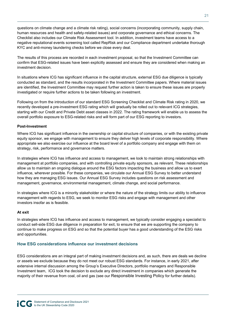questions on climate change and a climate risk rating), social concerns (incorporating community, supply chain, human resources and health and safety-related issues) and corporate governance and ethical concerns. The Checklist also includes our Climate Risk Assessment tool. In addition, investment teams have access to a negative reputational events screening tool called RepRisk and our Compliance department undertake thorough KYC and anti-money laundering checks before we close every deal.

The results of this process are recorded in each investment proposal, so that the Investment Committee can confirm that ESG-related issues have been explicitly assessed and ensure they are considered when making an investment decision.

In situations where ICG has significant influence in the capital structure, external ESG due diligence is typically conducted as standard, and the results incorporated in the Investment Committee papers. Where material issues are identified, the Investment Committee may request further action is taken to ensure these issues are properly investigated or require further actions to be taken following an investment.

Following on from the introduction of our standard ESG Screening Checklist and Climate Risk rating in 2020, we recently developed a pre-investment ESG rating which will gradually be rolled out to relevant ICG strategies, starting with our Credit and Private Debt asset classes in 2022. The rating framework will enable us to assess the overall portfolio exposure to ESG-related risks and will form part of our ESG reporting to investors.

#### **Post-Investment**

Where ICG has significant influence in the ownership or capital structure of companies, or with the existing private equity sponsor, we engage with management to ensure they deliver high levels of corporate responsibility. Where appropriate we also exercise our influence at the board level of a portfolio company and engage with them on strategy, risk, performance and governance matters.

In strategies where ICG has influence and access to management, we look to maintain strong relationships with management at portfolio companies, and with controlling private equity sponsors, as relevant. These relationships allow us to maintain an ongoing dialogue around the ESG factors impacting the business and allow us to exert influence, wherever possible. For these companies, we circulate our Annual ESG Survey to better understand how they are managing ESG issues. Our Annual ESG Survey includes questions on risk assessment and management, governance, environmental management, climate change, and social performance.

In strategies where ICG is a minority stakeholder or where the nature of the strategy limits our ability to influence management with regards to ESG, we seek to monitor ESG risks and engage with management and other investors insofar as is feasible.

#### **At exit**

In strategies where ICG has influence and access to management, we typically consider engaging a specialist to conduct sell-side ESG due diligence in preparation for exit, to ensure that we are supporting the company to continue to make progress on ESG and so that the potential buyer has a good understanding of the ESG risks and opportunities.

#### **How ESG considerations influence our investment decisions**

ESG considerations are an integral part of making investment decisions and, as such, there are deals we decline or assets we exclude because they do not meet our robust ESG standards. For instance, in early 2021, after extensive internal discussion among the Group's Executive Directors, portfolio managers and Responsible Investment team, ICG took the decision to exclude any direct investment in companies which generate the majority of their revenue from coal, oil and gas (see our Responsible Investing Policy for further details).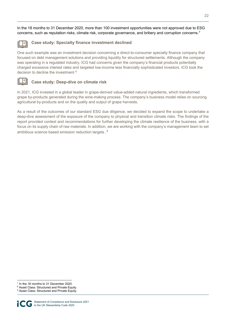In the 18 months to 31 December 2020, more than 100 investment opportunities were not approved due to ESG concerns, such as reputation risks, climate risk, corporate governance, and bribery and corruption concerns.<sup>7</sup>



#### **Case study: Specialty finance investment declined**

One such example was an investment decision concerning a direct-to-consumer specialty finance company that focused on debt management solutions and providing liquidity for structured settlements. Although the company was operating in a regulated industry, ICG had concerns given the company's financial products potentially charged excessive interest rates and targeted low-income less financially sophisticated investors. ICG took the decision to decline the investment. $8$ 



#### **Case study: Deep-dive on climate risk**

In 2021, ICG invested in a global leader in grape-derived value-added natural ingredients, which transformed grape by-products generated during the wine-making process. The company's business model relies on sourcing agricultural by-products and on the quality and output of grape harvests.

As a result of the outcomes of our standard ESG due diligence, we decided to expand the scope to undertake a deep-dive assessment of the exposure of the company to physical and transition climate risks. The findings of the report provided context and recommendations for further developing the climate resilience of the business, with a focus on its supply chain of raw materials. In addition, we are working with the company's management team to set ambitious science based emission reduction targets  $.9$ 

<sup>&</sup>lt;sup>7</sup> In the 18 months to 31 December 2020.

<sup>8</sup> Asset Class: Structured and Private Equity.

<sup>&</sup>lt;sup>9</sup> Asset Class: Structured and Private Equity.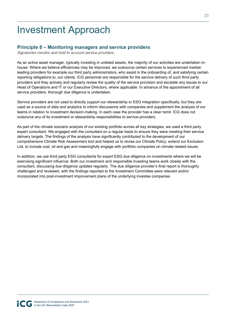# Investment Approach

### **Principle 8 – Monitoring managers and service providers**

*Signatories monitor and hold to account service providers.*

As an active asset manager, typically investing in unlisted assets, the majority of our activities are undertaken inhouse. Where we believe efficiencies may be improved, we outsource certain services to experienced marketleading providers for example our third party administrators, who assist in the onboarding of, and satisfying certain reporting obligations to, our clients. ICG personnel are responsible for the service delivery of such third party providers and they actively and regularly review the quality of the service provision and escalate any issues to our Head of Operations and IT or our Executive Directors, where applicable. In advance of the appointment of all service providers, thorough due diligence is undertaken.

Service providers are not used to directly support our stewardship or ESG integration specifically, but they are used as a source of data and analytics to inform discussions with companies and supplement the analysis of our teams in relation to investment decision-making. In each case the provider has a clear remit. ICG does not outsource any of its investment or stewardship responsibilities to service providers.

As part of the climate scenario analysis of our existing portfolio across all key strategies, we used a third party expert consultant. We engaged with the consultant on a regular basis to ensure they were meeting their service delivery targets. The findings of the analysis have significantly contributed to the development of our comprehensive Climate Risk Assessment tool and helped us to revise our Climate Policy, extend our Exclusion List, to include coal, oil and gas and meaningfully engage with portfolio companies on climate related issues.

In addition, we use third party ESG consultants for expert ESG due diligence on investments where we will be exercising significant influence. Both our investment and responsible investing teams work closely with the consultant, discussing due diligence updates regularly. The due diligence provider's final report is thoroughly challenged and reviewed, with the findings reported to the Investment Committee were relevant and/or incorporated into post-investment improvement plans of the underlying investee companies.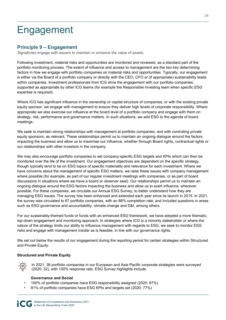# Engagement

### **Principle 9 – Engagement**

*Signatories engage with issuers to maintain or enhance the value of assets.*

Following investment, material risks and opportunities are monitored and reviewed, as a standard part of the portfolio monitoring process. The extent of influence and access to management are the two key determining factors in how we engage with portfolio companies on material risks and opportunities. Typically, our engagement is either via the Board of a portfolio company or directly with the CEO, CFO or (if appropriate) sustainability leads within companies. Investment professionals from ICG drive the engagement with our portfolio companies, supported as appropriate by other ICG teams (for example the Responsible Investing team when specific ESG expertise is required).

Where ICG has significant influence in the ownership or capital structure of companies, or with the existing private equity sponsor, we engage with management to ensure they deliver high levels of corporate responsibility. Where appropriate we also exercise our influence at the board level of a portfolio company and engage with them on strategy, risk, performance and governance matters. In such situations, we add ESG to the agenda of board meetings.

We seek to maintain strong relationships with management at portfolio companies, and with controlling private equity sponsors, as relevant. These relationships permit us to maintain an ongoing dialogue around the factors impacting the business and allow us to maximise our influence, whether through Board rights, contractual rights or our relationships with other investors in the company.

We may also encourage portfolio companies to set company-specific ESG targets and KPIs which can then be monitored over the life of the investment. Our engagement objectives are dependent on the specific strategy, though typically tend to be on ESG topics of specific materiality and relevance for each investment. Where we have concerns about the management of specific ESG matters, we raise these issues with company management where possible (for example, as part of our regular investment meetings with companies, or as part of board discussions in situations where we have a board or observer seat). Our relationships permit us to maintain an ongoing dialogue around the ESG factors impacting the business and allow us to exert influence, wherever possible. For these companies, we circulate our Annual ESG Survey, to better understand how they are managing ESG issues. The survey has been enhanced and extended each year since its launch in 2015. In 2021, the survey was circulated to 67 portfolio companies, with an 86% completion rate, and included questions in areas such as ESG governance and accountability, climate change and D&I, among others.

For our sustainably-themed funds or funds with an enhanced ESG framework, we have adopted a more thematic, top-down engagement and monitoring approach. In strategies where ICG is a minority stakeholder or where the nature of the strategy limits our ability to influence management with regards to ESG, we seek to monitor ESG risks and engage with management insofar as is feasible, in line with our governance rights.

We set out below the results of our engagement during the reporting period for certain strategies within Structured and Private Equity:

#### **Structured and Private Equity**

In 2021, 36 portfolio companies in our European and Asia Pacific corporate strategies were surveyed (2020: 32), with 100% response rate. ESG Survey highlights include:

#### **Governance and Social**

- 100% of portfolio companies have ESG responsibility assigned (2020: 87%)
- 81% of portfolio companies have ESG KPIs and targets set (2020: 77%)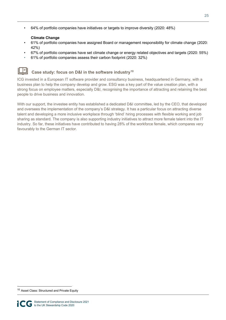• 64% of portfolio companies have initiatives or targets to improve diversity (2020: 48%)

#### **Climate Change**

- 61% of portfolio companies have assigned Board or management responsibility for climate change (2020: 42%)
- 67% of portfolio companies have set climate change or energy related objectives and targets (2020: 55%)
- 61% of portfolio companies assess their carbon footprint (2020: 32%)

#### Ħ Case study: focus on D&I in the software industry<sup>10</sup>

ICG invested in a European IT software provider and consultancy business, headquartered in Germany, with a business plan to help the company develop and grow. ESG was a key part of the value creation plan, with a strong focus on employee matters, especially D&I, recognising the importance of attracting and retaining the best people to drive business and innovation.

With our support, the investee entity has established a dedicated D&I committee, led by the CEO, that developed and oversees the implementation of the company's D&I strategy. It has a particular focus on attracting diverse talent and developing a more inclusive workplace through 'blind' hiring processes with flexible working and job sharing as standard. The company is also supporting industry initiatives to attract more female talent into the IT industry. So far, these initiatives have contributed to having 28% of the workforce female, which compares very favourably to the German IT sector.

<sup>10</sup> Asset Class: Structured and Private Equity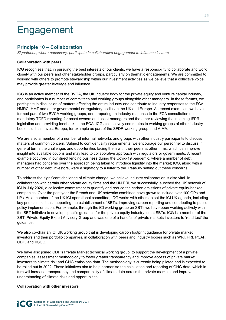# Engagement

### **Principle 10 – Collaboration**

*Signatories, where necessary, participate in collaborative engagement to influence issuers.* 

#### **Collaboration with peers**

ICG recognises that, in pursuing the best interests of our clients, we have a responsibility to collaborate and work closely with our peers and other stakeholder groups, particularly on thematic engagements. We are committed to working with others to promote stewardship within our investment activities as we believe that a collective voice may provide greater leverage and influence.

ICG is an active member of the BVCA, the UK industry body for the private equity and venture capital industry, and participates in a number of committees and working groups alongside other managers. In these forums, we participate in discussion of matters affecting the entire industry and contribute to industry responses to the FCA, HMRC, HMT and other governmental or regulatory bodies in the UK and Europe. As recent examples, we have formed part of two BVCA working groups, one preparing an industry response to the FCA consultation on mandatory TCFD reporting for asset owners and asset managers and the other reviewing the incoming IFPR legislation and providing feedback to the FCA. ICG also actively contributes to working groups of other industry bodies such as Invest Europe, for example as part of the SFDR working group, and AIMA.

We are also a member of a number of informal networks and groups with other industry participants to discuss matters of common concern. Subject to confidentiality requirements, we encourage our personnel to discuss in general terms the challenges and opportunities facing them with their peers at other firms, which can improve insight into available options and may lead to collaborative approach with regulators or governments. A recent example occurred in our direct lending business during the Covid-19 pandemic, where a number of debt managers had concerns over the approach being taken to introduce liquidity into the market; ICG, along with a number of other debt investors, were a signatory to a letter to the Treasury setting out these concerns.

To address the significant challenge of climate change, we believe industry collaboration is also vital. In collaboration with certain other private equity firms and the UN PRI, we successfully launched the UK network of iCI in July 2020, a collective commitment to quantify and reduce the carbon emissions of private equity-backed companies. Over the past year the French and UK networks combined have grown to include over 100 GPs and LPs. As a member of the UK iCI operational committee, ICG works with others to set the iCI UK agenda, including key priorities such as supporting the establishment of SBTs, improving carbon reporting and contributing to public policy implementation. For example, through the iCI working group on SBTs we have been working actively with the SBT Initiative to develop specific guidance for the private equity industry to set SBTs. ICG is a member of the SBTi Private Equity Expert Advisory Group and was one of a handful of private markets investors to 'road test' the guidance.

We also co-chair an iCI UK working group that is developing carbon footprint guidance for private market investors and their portfolio companies, in collaboration with peers and industry bodies such as WRI, PRI, PCAF, CDP, and IIGCC.

We have also joined CDP's Private Market technical working group, to support the development of a private companies' assessment methodology to foster greater transparency and improve access of private market investors to climate risk and GHG emissions data. The methodology is currently being piloted and is expected to be rolled out in 2022. These initiatives aim to help harmonise the calculation and reporting of GHG data, which in turn will increase transparency and comparability of climate data across the private markets and improve understanding of climate risks and opportunities.

#### **Collaboration with other investors**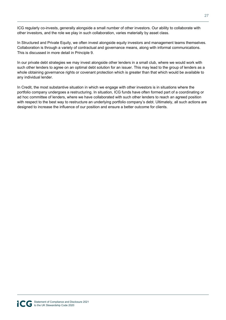ICG regularly co-invests, generally alongside a small number of other investors. Our ability to collaborate with other investors, and the role we play in such collaboration, varies materially by asset class.

In Structured and Private Equity, we often invest alongside equity investors and management teams themselves. Collaboration is through a variety of contractual and governance means, along with informal communications. This is discussed in more detail in Principle 9.

In our private debt strategies we may invest alongside other lenders in a small club, where we would work with such other lenders to agree on an optimal debt solution for an issuer. This may lead to the group of lenders as a whole obtaining governance rights or covenant protection which is greater than that which would be available to any individual lender.

In Credit, the most substantive situation in which we engage with other investors is in situations where the portfolio company undergoes a restructuring. In situation, ICG funds have often formed part of a coordinating or ad hoc committee of lenders, where we have collaborated with such other lenders to reach an agreed position with respect to the best way to restructure an underlying portfolio company's debt. Ultimately, all such actions are designed to increase the influence of our position and ensure a better outcome for clients.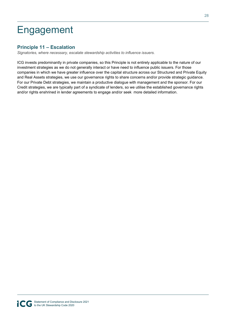# Engagement

### **Principle 11 – Escalation**

*Signatories, where necessary, escalate stewardship activities to influence issuers.* 

ICG invests predominantly in private companies, so this Principle is not entirely applicable to the nature of our investment strategies as we do not generally interact or have need to influence public issuers. For those companies in which we have greater influence over the capital structure across our Structured and Private Equity and Real Assets strategies, we use our governance rights to share concerns and/or provide strategic guidance. For our Private Debt strategies, we maintain a productive dialogue with management and the sponsor. For our Credit strategies, we are typically part of a syndicate of lenders, so we utilise the established governance rights and/or rights enshrined in lender agreements to engage and/or seek more detailed information.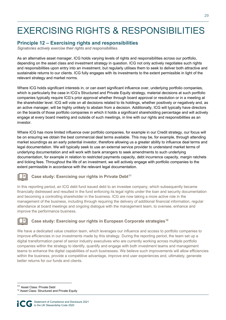# EXERCISING RIGHTS & RESPONSIBILITIES

### **Principle 12 – Exercising rights and responsibilities**

*Signatories actively exercise their rights and responsibilities.* 

As an alternative asset manager, ICG holds varying levels of rights and responsibilities across our portfolio, depending on the asset class and investment strategy in question. ICG not only actively negotiates such rights and responsibilities upon entry into an investment, but regularly utilises them to seek to deliver both attractive and sustainable returns to our clients. ICG fully engages with its investments to the extent permissible in light of the relevant strategy and market norms.

Where ICG holds significant interests in, or can exert significant influence over, underlying portfolio companies, which is particularly the case in ICG's Structured and Private Equity strategy, material decisions at such portfolio companies typically require ICG's prior approval whether through board approval or resolution or in a meeting at the shareholder level. ICG will vote on all decisions related to its holdings, whether positively or negatively and, as an active manager, will be highly unlikely to abstain from a decision. Additionally, ICG will typically have directors on the boards of those portfolio companies in which it holds a significant shareholding percentage and will actively engage at every board meeting and outside of such meetings, in line with our rights and responsibilities as an investor.

Where ICG has more limited influence over portfolio companies, for example in our Credit strategy, our focus will be on ensuring we obtain the best commercial deal terms available. This may be, for example, through attending market soundings as an early potential investor, therefore allowing us a greater ability to influence deal terms and legal documentation. We will typically seek to use an external service provider to understand market terms of underlying documentation and will work with bank arrangers to seek amendments to such underlying documentation, for example in relation to restricted payments capacity, debt incurrence capacity, margin ratchets and ticking fees. Throughout the life of an investment, we will actively engage with portfolio companies to the extent permissible in accordance with the relevant legal documentation.

#### **Case study: Exercising our rights in Private Debt<sup>11</sup>**

In this reporting period, an ICG debt fund issued debt to an investee company, which subsequently became financially distressed and resulted in the fund enforcing its legal rights under the loan and security documentation and becoming a controlling shareholder in the business. ICG are now taking a more active role in the management of the business, including through requiring the delivery of additional financial information, regular attendance at board meetings and ongoing dialogue with the management team, to oversee, enhance and improve the performance business.

#### Case study: Exercising our rights in European Corporate strategies<sup>12</sup>

We have a dedicated value creation team, which leverages our influence and access to portfolio companies to improve efficiencies in our investments made by this strategy. During the reporting period, the team set up a digital transformation panel of senior industry executives who are currently working across multiple portfolio companies within the strategy to identify, quantify and engage with both investment teams and management teams to enhance the digital capabilities of such businesses. We believe such improvements will allow efficiencies within the business, provide a competitive advantage, improve end user experiences and, ultimately, generate better returns for our funds and clients.

<sup>11</sup> Asset Class: Private Debt

<sup>12</sup> Asset Class: Structured and Private Equity